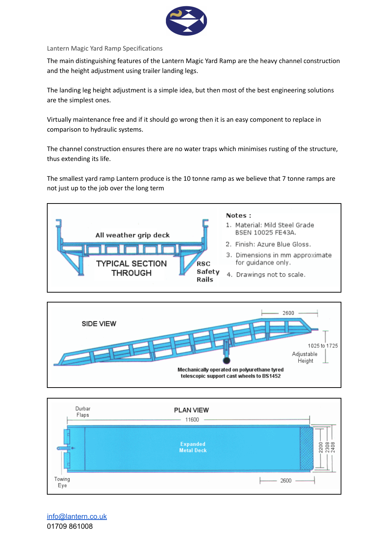

Lantern Magic Yard Ramp Specifications

The main distinguishing features of the Lantern Magic Yard Ramp are the heavy channel construction and the height adjustment using trailer landing legs.

The landing leg height adjustment is a simple idea, but then most of the best engineering solutions are the simplest ones.

Virtually maintenance free and if it should go wrong then it is an easy component to replace in comparison to hydraulic systems.

The channel construction ensures there are no water traps which minimises rusting of the structure, thus extending its life.

The smallest yard ramp Lantern produce is the 10 tonne ramp as we believe that 7 tonne ramps are not just up to the job over the long term







[info@lantern.co.uk](mailto:info@lantern.co.uk) 01709 861008